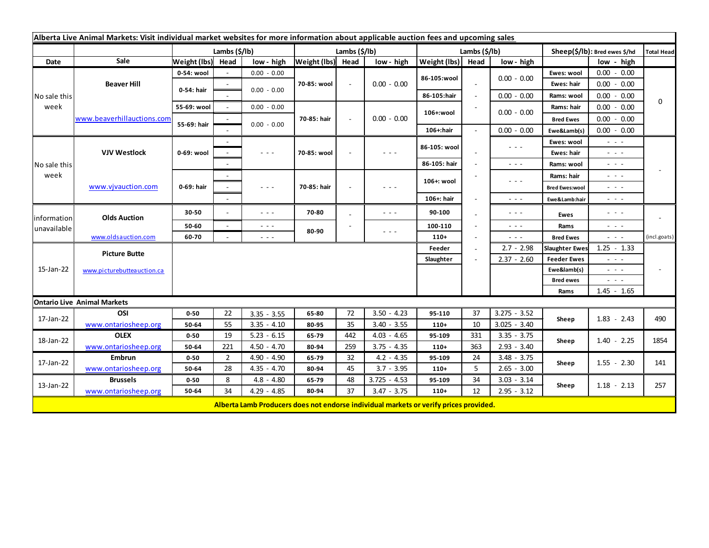| Alberta Live Animal Markets: Visit individual market websites for more information about applicable auction fees and upcoming sales |                                                    |                       |                |                                                                                                                           |                       |                          |                                                                                                                        |                           |                          |                                                                                                                                                                                                                                                                                                                                                                                                                                                |                       |                                |                   |
|-------------------------------------------------------------------------------------------------------------------------------------|----------------------------------------------------|-----------------------|----------------|---------------------------------------------------------------------------------------------------------------------------|-----------------------|--------------------------|------------------------------------------------------------------------------------------------------------------------|---------------------------|--------------------------|------------------------------------------------------------------------------------------------------------------------------------------------------------------------------------------------------------------------------------------------------------------------------------------------------------------------------------------------------------------------------------------------------------------------------------------------|-----------------------|--------------------------------|-------------------|
|                                                                                                                                     |                                                    | Lambs $(\frac{2}{3})$ |                |                                                                                                                           | Lambs $(\frac{2}{3})$ |                          |                                                                                                                        | Lambs $(\frac{2}{3})$ lb) |                          |                                                                                                                                                                                                                                                                                                                                                                                                                                                |                       | Sheep(\$/lb): Bred ewes \$/hd  | <b>Total Head</b> |
| Date                                                                                                                                | Sale                                               | Weight (lbs) Head     |                | low - high                                                                                                                | Weight (lbs) Head     |                          | low - high                                                                                                             | Weight (lbs) Head         |                          | low - high                                                                                                                                                                                                                                                                                                                                                                                                                                     |                       | low - high                     |                   |
| No sale this<br>week                                                                                                                | <b>Beaver Hill</b>                                 | 0-54: wool            |                | $0.00 - 0.00$                                                                                                             |                       |                          | $0.00 - 0.00$                                                                                                          | 86-105:wool               |                          | $0.00 - 0.00$                                                                                                                                                                                                                                                                                                                                                                                                                                  | Ewes: wool            | $0.00 - 0.00$                  | 0                 |
|                                                                                                                                     |                                                    | 0-54: hair            |                |                                                                                                                           | 70-85: wool           |                          |                                                                                                                        |                           | $\sim$                   |                                                                                                                                                                                                                                                                                                                                                                                                                                                | Ewes: hair            | $0.00 - 0.00$                  |                   |
|                                                                                                                                     |                                                    |                       |                | $0.00 - 0.00$                                                                                                             |                       |                          |                                                                                                                        | 86-105:hair               | $\overline{\phantom{a}}$ | $0.00 - 0.00$                                                                                                                                                                                                                                                                                                                                                                                                                                  | Rams: wool            | $0.00 - 0.00$                  |                   |
|                                                                                                                                     | www.beaverhillauctions.com                         | 55-69: wool           | $\sim$         | $0.00 - 0.00$                                                                                                             |                       | $\overline{\phantom{a}}$ | $0.00 - 0.00$                                                                                                          | 106+:wool                 |                          | $0.00 - 0.00$                                                                                                                                                                                                                                                                                                                                                                                                                                  | Rams: hair            | $0.00 - 0.00$                  |                   |
|                                                                                                                                     |                                                    | 55-69: hair           |                |                                                                                                                           | 70-85: hair           |                          |                                                                                                                        |                           |                          |                                                                                                                                                                                                                                                                                                                                                                                                                                                | <b>Bred Ewes</b>      | 0.00<br>$-0.00$                |                   |
|                                                                                                                                     |                                                    |                       |                | $0.00 - 0.00$                                                                                                             |                       |                          |                                                                                                                        | 106+:hair                 |                          | $0.00 - 0.00$                                                                                                                                                                                                                                                                                                                                                                                                                                  | Ewe&Lamb(s)           | $0.00 - 0.00$                  |                   |
| No sale this<br>week                                                                                                                | <b>VJV Westlock</b>                                | 0-69: wool            |                |                                                                                                                           | 70-85: wool           |                          |                                                                                                                        | 86-105: wool              |                          | $\frac{1}{2} \left( \frac{1}{2} \right) = \frac{1}{2} \left( \frac{1}{2} \right)$                                                                                                                                                                                                                                                                                                                                                              | Ewes: wool            | - - -                          |                   |
|                                                                                                                                     |                                                    |                       |                | $\frac{1}{2} \left( \frac{1}{2} \right) \left( \frac{1}{2} \right) \left( \frac{1}{2} \right) \left( \frac{1}{2} \right)$ |                       |                          |                                                                                                                        |                           |                          |                                                                                                                                                                                                                                                                                                                                                                                                                                                | Ewes: hair            | - - -                          |                   |
|                                                                                                                                     |                                                    |                       | $\sim$         |                                                                                                                           |                       |                          |                                                                                                                        | 86-105: hair              | $\sim$                   | $\frac{1}{2} \left( \frac{1}{2} \right) \frac{1}{2} \left( \frac{1}{2} \right) \frac{1}{2} \left( \frac{1}{2} \right)$                                                                                                                                                                                                                                                                                                                         | Rams: wool            | $ -$                           |                   |
|                                                                                                                                     | www.vjvauction.com                                 | 0-69: hair            | $\sim$         |                                                                                                                           | 70-85: hair           |                          | $  -$                                                                                                                  | 106+: wool                |                          | $\frac{1}{2} \left( \frac{1}{2} \right) \left( \frac{1}{2} \right) \left( \frac{1}{2} \right) \left( \frac{1}{2} \right)$                                                                                                                                                                                                                                                                                                                      | Rams: hair            | $  -$                          |                   |
|                                                                                                                                     |                                                    |                       |                | $\frac{1}{2} \left( \frac{1}{2} \right) \left( \frac{1}{2} \right) \left( \frac{1}{2} \right) \left( \frac{1}{2} \right)$ |                       |                          |                                                                                                                        |                           |                          |                                                                                                                                                                                                                                                                                                                                                                                                                                                | <b>Bred Ewes:wool</b> | - - -                          |                   |
|                                                                                                                                     |                                                    |                       | $\sim$         |                                                                                                                           |                       |                          |                                                                                                                        | 106+: hair                |                          | $\frac{1}{2} \left( \frac{1}{2} \right) \frac{1}{2} \left( \frac{1}{2} \right)$                                                                                                                                                                                                                                                                                                                                                                | Ewe&Lamb:hair         | $  -$                          |                   |
| information<br>unavailable                                                                                                          | <b>Olds Auction</b>                                | 30-50                 |                | $\frac{1}{2} \left( \frac{1}{2} \right) \left( \frac{1}{2} \right) \left( \frac{1}{2} \right)$                            | 70-80                 |                          | - - -                                                                                                                  | 90-100                    |                          | $\frac{1}{2} \left( \frac{1}{2} \right) + \frac{1}{2} \left( \frac{1}{2} \right) + \frac{1}{2} \left( \frac{1}{2} \right) + \frac{1}{2} \left( \frac{1}{2} \right) + \frac{1}{2} \left( \frac{1}{2} \right) + \frac{1}{2} \left( \frac{1}{2} \right) + \frac{1}{2} \left( \frac{1}{2} \right) + \frac{1}{2} \left( \frac{1}{2} \right) + \frac{1}{2} \left( \frac{1}{2} \right) + \frac{1}{2} \left( \frac{1}{2} \right) + \frac{1}{2} \left($ | Ewes                  | $  -$                          |                   |
|                                                                                                                                     |                                                    | 50-60                 | $\blacksquare$ | $\sim$ $\sim$ $\sim$                                                                                                      | 80-90                 |                          | $\frac{1}{2} \left( \frac{1}{2} \right) \frac{1}{2} \left( \frac{1}{2} \right) \frac{1}{2} \left( \frac{1}{2} \right)$ | 100-110                   |                          | $\frac{1}{2} \left( \frac{1}{2} \right) \frac{1}{2} \left( \frac{1}{2} \right) \frac{1}{2}$                                                                                                                                                                                                                                                                                                                                                    | Rams                  | $\sim$ 100 $\sim$              |                   |
|                                                                                                                                     | www.oldsauction.com                                | 60-70                 |                | $  -$                                                                                                                     |                       |                          |                                                                                                                        | $110+$                    |                          | $\frac{1}{2} \left( \frac{1}{2} \right) \frac{1}{2} \left( \frac{1}{2} \right)$                                                                                                                                                                                                                                                                                                                                                                | <b>Bred Ewes</b>      | $\sim$ 100 $\sim$              | (incl.goats)      |
| 15-Jan-22                                                                                                                           | <b>Picture Butte</b><br>www.picturebutteauction.ca |                       |                |                                                                                                                           |                       |                          |                                                                                                                        | Feeder                    |                          | $2.7 - 2.98$                                                                                                                                                                                                                                                                                                                                                                                                                                   | <b>Slaughter Ewes</b> | $1.25 - 1.33$                  |                   |
|                                                                                                                                     |                                                    | Slaughter             |                |                                                                                                                           |                       |                          |                                                                                                                        |                           |                          | $2.37 - 2.60$                                                                                                                                                                                                                                                                                                                                                                                                                                  | <b>Feeder Ewes</b>    | $\sim$ 10 $\sim$               |                   |
|                                                                                                                                     |                                                    |                       |                |                                                                                                                           |                       |                          |                                                                                                                        |                           |                          |                                                                                                                                                                                                                                                                                                                                                                                                                                                | Ewe&lamb(s)           | $\sim$ 100 $\sim$              |                   |
|                                                                                                                                     |                                                    |                       |                |                                                                                                                           |                       |                          |                                                                                                                        |                           |                          |                                                                                                                                                                                                                                                                                                                                                                                                                                                | <b>Bred ewes</b>      | $\sim$ 100 $\pm$               |                   |
|                                                                                                                                     |                                                    |                       |                |                                                                                                                           |                       |                          |                                                                                                                        |                           |                          |                                                                                                                                                                                                                                                                                                                                                                                                                                                | Rams                  | $1.45 - 1.65$                  |                   |
| <b>Ontario Live Animal Markets</b>                                                                                                  |                                                    |                       |                |                                                                                                                           |                       |                          |                                                                                                                        |                           |                          |                                                                                                                                                                                                                                                                                                                                                                                                                                                |                       |                                |                   |
| 17-Jan-22                                                                                                                           | OSI                                                | $0 - 50$              | 22             | $3.35 - 3.55$                                                                                                             | 65-80                 | 72                       | $3.50 - 4.23$                                                                                                          | 95-110                    | 37                       | $3.275 - 3.52$                                                                                                                                                                                                                                                                                                                                                                                                                                 | Sheep                 | $1.83 - 2.43$                  | 490               |
|                                                                                                                                     | www.ontariosheep.org                               | 50-64                 | 55             | $3.35 - 4.10$                                                                                                             | 80-95                 | 35                       | $3.40 - 3.55$                                                                                                          | $110+$                    | 10                       | $3.025 - 3.40$                                                                                                                                                                                                                                                                                                                                                                                                                                 |                       |                                |                   |
| 18-Jan-22                                                                                                                           | <b>OLEX</b>                                        | $0 - 50$              | 19             | $5.23 - 6.15$                                                                                                             | 65-79                 | 442                      | $4.03 - 4.65$                                                                                                          | 95-109                    | 331                      | $3.35 - 3.75$                                                                                                                                                                                                                                                                                                                                                                                                                                  | Sheep                 | $1.40 - 2.25$                  | 1854              |
|                                                                                                                                     | www.ontariosheep.org                               | 50-64                 | 221            | $4.50 - 4.70$                                                                                                             | 80-94                 | 259                      | $3.75 - 4.35$                                                                                                          | $110+$                    | 363                      | $2.93 - 3.40$                                                                                                                                                                                                                                                                                                                                                                                                                                  |                       |                                |                   |
| 17-Jan-22<br>13-Jan-22                                                                                                              | <b>Embrun</b>                                      | $0 - 50$              | $\overline{2}$ | $4.90 - 4.90$                                                                                                             | 65-79                 | 32                       | $4.2 - 4.35$                                                                                                           | 95-109                    | 24                       | $3.48 - 3.75$                                                                                                                                                                                                                                                                                                                                                                                                                                  | Sheep                 | $1.55 - 2.30$<br>$1.18 - 2.13$ | 141<br>257        |
|                                                                                                                                     | www.ontariosheep.org                               | 50-64                 | 28             | $4.35 - 4.70$                                                                                                             | 80-94                 | 45                       | $3.7 - 3.95$                                                                                                           | $110+$                    | 5                        | $2.65 - 3.00$                                                                                                                                                                                                                                                                                                                                                                                                                                  |                       |                                |                   |
|                                                                                                                                     | <b>Brussels</b>                                    | $0 - 50$              | 8              | $4.8 - 4.80$                                                                                                              | 65-79                 | 48                       | $3.725 - 4.53$                                                                                                         | 95-109                    | 34                       | $3.03 - 3.14$                                                                                                                                                                                                                                                                                                                                                                                                                                  | Sheep                 |                                |                   |
|                                                                                                                                     | www.ontariosheep.org                               | 50-64                 | 34             | $4.29 - 4.85$                                                                                                             | 80-94                 | 37                       | $3.47 - 3.75$                                                                                                          | $110+$                    | 12                       | $2.95 - 3.12$                                                                                                                                                                                                                                                                                                                                                                                                                                  |                       |                                |                   |
|                                                                                                                                     |                                                    |                       |                |                                                                                                                           |                       |                          | Alberta Lamb Producers does not endorse individual markets or verify prices provided.                                  |                           |                          |                                                                                                                                                                                                                                                                                                                                                                                                                                                |                       |                                |                   |